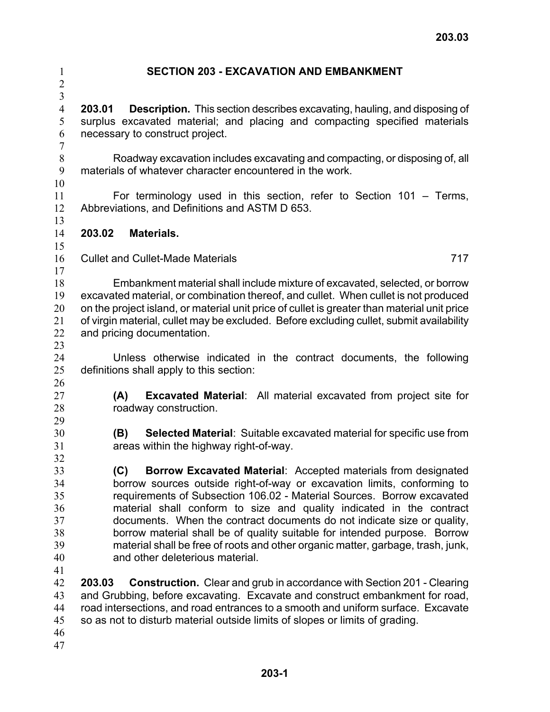| $\mathbf{1}$<br>$\overline{c}$                               | <b>SECTION 203 - EXCAVATION AND EMBANKMENT</b>                                                                                                                                                                                                                                                                                                                                                                                                                                                                                                                                  |     |
|--------------------------------------------------------------|---------------------------------------------------------------------------------------------------------------------------------------------------------------------------------------------------------------------------------------------------------------------------------------------------------------------------------------------------------------------------------------------------------------------------------------------------------------------------------------------------------------------------------------------------------------------------------|-----|
| $\overline{3}$<br>$\overline{4}$<br>5<br>6<br>$\overline{7}$ | <b>Description.</b> This section describes excavating, hauling, and disposing of<br>203.01<br>surplus excavated material; and placing and compacting specified materials<br>necessary to construct project.                                                                                                                                                                                                                                                                                                                                                                     |     |
| $8\,$<br>9<br>10                                             | Roadway excavation includes excavating and compacting, or disposing of, all<br>materials of whatever character encountered in the work.                                                                                                                                                                                                                                                                                                                                                                                                                                         |     |
| 11<br>12<br>13                                               | For terminology used in this section, refer to Section $101 -$ Terms,<br>Abbreviations, and Definitions and ASTM D 653.                                                                                                                                                                                                                                                                                                                                                                                                                                                         |     |
| 14                                                           | 203.02<br>Materials.                                                                                                                                                                                                                                                                                                                                                                                                                                                                                                                                                            |     |
| 15<br>16<br>17                                               | <b>Cullet and Cullet-Made Materials</b>                                                                                                                                                                                                                                                                                                                                                                                                                                                                                                                                         | 717 |
| 18<br>19<br>20<br>21<br>22<br>23                             | Embankment material shall include mixture of excavated, selected, or borrow<br>excavated material, or combination thereof, and cullet. When cullet is not produced<br>on the project island, or material unit price of cullet is greater than material unit price<br>of virgin material, cullet may be excluded. Before excluding cullet, submit availability<br>and pricing documentation.                                                                                                                                                                                     |     |
| 24<br>25<br>26                                               | Unless otherwise indicated in the contract documents, the following<br>definitions shall apply to this section:                                                                                                                                                                                                                                                                                                                                                                                                                                                                 |     |
| 27<br>28<br>29                                               | <b>Excavated Material:</b> All material excavated from project site for<br>(A)<br>roadway construction.                                                                                                                                                                                                                                                                                                                                                                                                                                                                         |     |
| 30<br>31<br>32                                               | (B)<br><b>Selected Material:</b> Suitable excavated material for specific use from<br>areas within the highway right-of-way.                                                                                                                                                                                                                                                                                                                                                                                                                                                    |     |
| 33<br>34<br>35<br>36<br>37<br>38<br>39<br>40<br>41           | Borrow Excavated Material: Accepted materials from designated<br>(C)<br>borrow sources outside right-of-way or excavation limits, conforming to<br>requirements of Subsection 106.02 - Material Sources. Borrow excavated<br>material shall conform to size and quality indicated in the contract<br>documents. When the contract documents do not indicate size or quality,<br>borrow material shall be of quality suitable for intended purpose. Borrow<br>material shall be free of roots and other organic matter, garbage, trash, junk,<br>and other deleterious material. |     |
| 42<br>43<br>44<br>45<br>46                                   | <b>Construction.</b> Clear and grub in accordance with Section 201 - Clearing<br>203.03<br>and Grubbing, before excavating. Excavate and construct embankment for road,<br>road intersections, and road entrances to a smooth and uniform surface. Excavate<br>so as not to disturb material outside limits of slopes or limits of grading.                                                                                                                                                                                                                                     |     |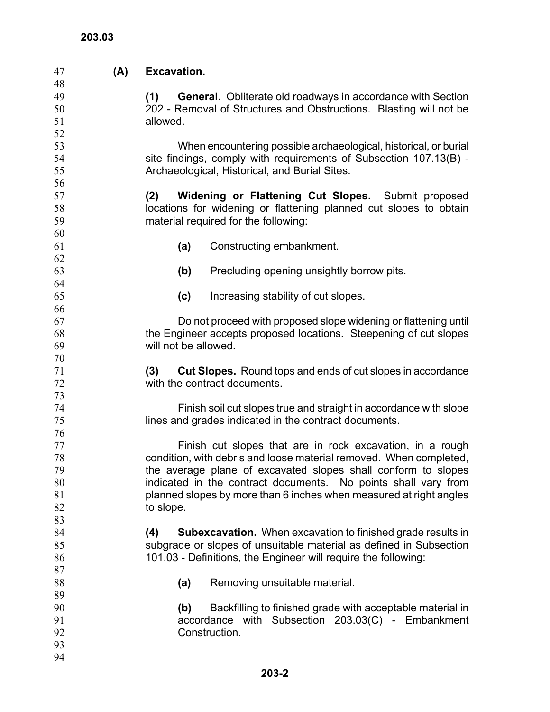| 47       | (A) | <b>Excavation.</b>                                                                                                    |  |  |  |  |
|----------|-----|-----------------------------------------------------------------------------------------------------------------------|--|--|--|--|
| 48       |     |                                                                                                                       |  |  |  |  |
| 49       |     | General. Obliterate old roadways in accordance with Section<br>(1)                                                    |  |  |  |  |
| 50       |     | 202 - Removal of Structures and Obstructions. Blasting will not be                                                    |  |  |  |  |
| 51       |     | allowed.                                                                                                              |  |  |  |  |
| 52       |     |                                                                                                                       |  |  |  |  |
| 53       |     | When encountering possible archaeological, historical, or burial                                                      |  |  |  |  |
| 54       |     | site findings, comply with requirements of Subsection 107.13(B) -                                                     |  |  |  |  |
| 55       |     | Archaeological, Historical, and Burial Sites.                                                                         |  |  |  |  |
| 56       |     |                                                                                                                       |  |  |  |  |
| 57       |     | <b>Widening or Flattening Cut Slopes.</b> Submit proposed<br>(2)                                                      |  |  |  |  |
| 58       |     | locations for widening or flattening planned cut slopes to obtain                                                     |  |  |  |  |
| 59       |     | material required for the following:                                                                                  |  |  |  |  |
| 60       |     |                                                                                                                       |  |  |  |  |
| 61       |     | Constructing embankment.<br>(a)                                                                                       |  |  |  |  |
| 62<br>63 |     |                                                                                                                       |  |  |  |  |
| 64       |     | (b)<br>Precluding opening unsightly borrow pits.                                                                      |  |  |  |  |
| 65       |     | Increasing stability of cut slopes.                                                                                   |  |  |  |  |
| 66       |     | (c)                                                                                                                   |  |  |  |  |
| 67       |     | Do not proceed with proposed slope widening or flattening until                                                       |  |  |  |  |
| 68       |     | the Engineer accepts proposed locations. Steepening of cut slopes                                                     |  |  |  |  |
| 69       |     | will not be allowed.                                                                                                  |  |  |  |  |
| 70       |     |                                                                                                                       |  |  |  |  |
| 71       |     | <b>Cut Slopes.</b> Round tops and ends of cut slopes in accordance<br>(3)                                             |  |  |  |  |
| 72       |     | with the contract documents.                                                                                          |  |  |  |  |
| 73       |     |                                                                                                                       |  |  |  |  |
| 74       |     | Finish soil cut slopes true and straight in accordance with slope                                                     |  |  |  |  |
| 75       |     | lines and grades indicated in the contract documents.                                                                 |  |  |  |  |
| 76       |     |                                                                                                                       |  |  |  |  |
| 77       |     | Finish cut slopes that are in rock excavation, in a rough                                                             |  |  |  |  |
| 78       |     | condition, with debris and loose material removed. When completed,                                                    |  |  |  |  |
| 79       |     | the average plane of excavated slopes shall conform to slopes                                                         |  |  |  |  |
| 80       |     | indicated in the contract documents. No points shall vary from                                                        |  |  |  |  |
| 81       |     | planned slopes by more than 6 inches when measured at right angles                                                    |  |  |  |  |
| 82       |     | to slope.                                                                                                             |  |  |  |  |
| 83       |     |                                                                                                                       |  |  |  |  |
| 84       |     | (4)<br><b>Subexcavation.</b> When excavation to finished grade results in                                             |  |  |  |  |
| 85       |     | subgrade or slopes of unsuitable material as defined in Subsection                                                    |  |  |  |  |
| 86       |     | 101.03 - Definitions, the Engineer will require the following:                                                        |  |  |  |  |
| 87       |     |                                                                                                                       |  |  |  |  |
| 88       |     | Removing unsuitable material.<br>(a)                                                                                  |  |  |  |  |
| 89       |     |                                                                                                                       |  |  |  |  |
| 90<br>91 |     | Backfilling to finished grade with acceptable material in<br>(b)<br>accordance with Subsection 203.03(C) - Embankment |  |  |  |  |
| 92       |     | Construction.                                                                                                         |  |  |  |  |
| 93       |     |                                                                                                                       |  |  |  |  |
| 94       |     |                                                                                                                       |  |  |  |  |
|          |     |                                                                                                                       |  |  |  |  |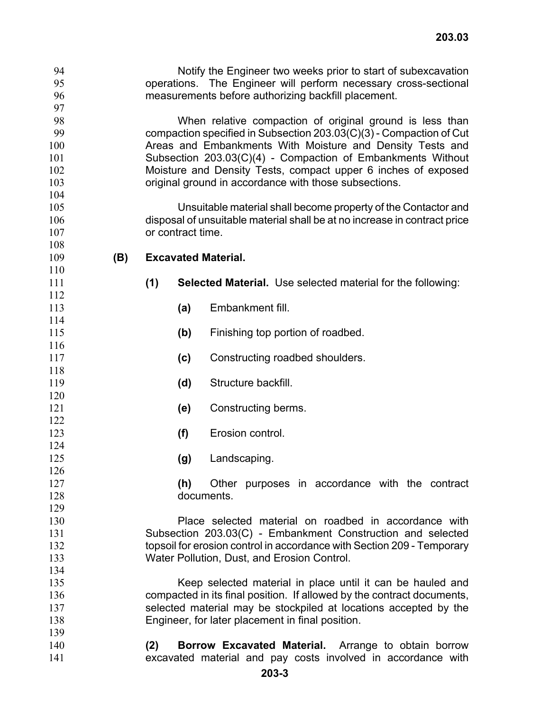| operations. The Engineer will perform necessary cross-sectional<br>measurements before authorizing backfill placement.<br>When relative compaction of original ground is less than<br>compaction specified in Subsection 203.03(C)(3) - Compaction of Cut<br>Areas and Embankments With Moisture and Density Tests and |  |  |  |
|------------------------------------------------------------------------------------------------------------------------------------------------------------------------------------------------------------------------------------------------------------------------------------------------------------------------|--|--|--|
|                                                                                                                                                                                                                                                                                                                        |  |  |  |
|                                                                                                                                                                                                                                                                                                                        |  |  |  |
|                                                                                                                                                                                                                                                                                                                        |  |  |  |
|                                                                                                                                                                                                                                                                                                                        |  |  |  |
|                                                                                                                                                                                                                                                                                                                        |  |  |  |
|                                                                                                                                                                                                                                                                                                                        |  |  |  |
| Subsection 203.03(C)(4) - Compaction of Embankments Without                                                                                                                                                                                                                                                            |  |  |  |
| Moisture and Density Tests, compact upper 6 inches of exposed                                                                                                                                                                                                                                                          |  |  |  |
| original ground in accordance with those subsections.                                                                                                                                                                                                                                                                  |  |  |  |
|                                                                                                                                                                                                                                                                                                                        |  |  |  |
| Unsuitable material shall become property of the Contactor and                                                                                                                                                                                                                                                         |  |  |  |
| disposal of unsuitable material shall be at no increase in contract price                                                                                                                                                                                                                                              |  |  |  |
| or contract time.                                                                                                                                                                                                                                                                                                      |  |  |  |
|                                                                                                                                                                                                                                                                                                                        |  |  |  |
|                                                                                                                                                                                                                                                                                                                        |  |  |  |
|                                                                                                                                                                                                                                                                                                                        |  |  |  |
| <b>Selected Material.</b> Use selected material for the following:                                                                                                                                                                                                                                                     |  |  |  |
|                                                                                                                                                                                                                                                                                                                        |  |  |  |
|                                                                                                                                                                                                                                                                                                                        |  |  |  |
|                                                                                                                                                                                                                                                                                                                        |  |  |  |
|                                                                                                                                                                                                                                                                                                                        |  |  |  |
|                                                                                                                                                                                                                                                                                                                        |  |  |  |
|                                                                                                                                                                                                                                                                                                                        |  |  |  |
|                                                                                                                                                                                                                                                                                                                        |  |  |  |
|                                                                                                                                                                                                                                                                                                                        |  |  |  |
|                                                                                                                                                                                                                                                                                                                        |  |  |  |
|                                                                                                                                                                                                                                                                                                                        |  |  |  |
|                                                                                                                                                                                                                                                                                                                        |  |  |  |
|                                                                                                                                                                                                                                                                                                                        |  |  |  |
|                                                                                                                                                                                                                                                                                                                        |  |  |  |
|                                                                                                                                                                                                                                                                                                                        |  |  |  |
|                                                                                                                                                                                                                                                                                                                        |  |  |  |
|                                                                                                                                                                                                                                                                                                                        |  |  |  |
| Other purposes in accordance with the contract<br>(h)<br>documents.                                                                                                                                                                                                                                                    |  |  |  |
|                                                                                                                                                                                                                                                                                                                        |  |  |  |
| Place selected material on roadbed in accordance with                                                                                                                                                                                                                                                                  |  |  |  |
|                                                                                                                                                                                                                                                                                                                        |  |  |  |
| Subsection 203.03(C) - Embankment Construction and selected<br>topsoil for erosion control in accordance with Section 209 - Temporary                                                                                                                                                                                  |  |  |  |
| Water Pollution, Dust, and Erosion Control.                                                                                                                                                                                                                                                                            |  |  |  |
|                                                                                                                                                                                                                                                                                                                        |  |  |  |
| Keep selected material in place until it can be hauled and                                                                                                                                                                                                                                                             |  |  |  |
|                                                                                                                                                                                                                                                                                                                        |  |  |  |
|                                                                                                                                                                                                                                                                                                                        |  |  |  |
| compacted in its final position. If allowed by the contract documents,                                                                                                                                                                                                                                                 |  |  |  |
| selected material may be stockpiled at locations accepted by the                                                                                                                                                                                                                                                       |  |  |  |
|                                                                                                                                                                                                                                                                                                                        |  |  |  |
| Arrange to obtain borrow                                                                                                                                                                                                                                                                                               |  |  |  |
|                                                                                                                                                                                                                                                                                                                        |  |  |  |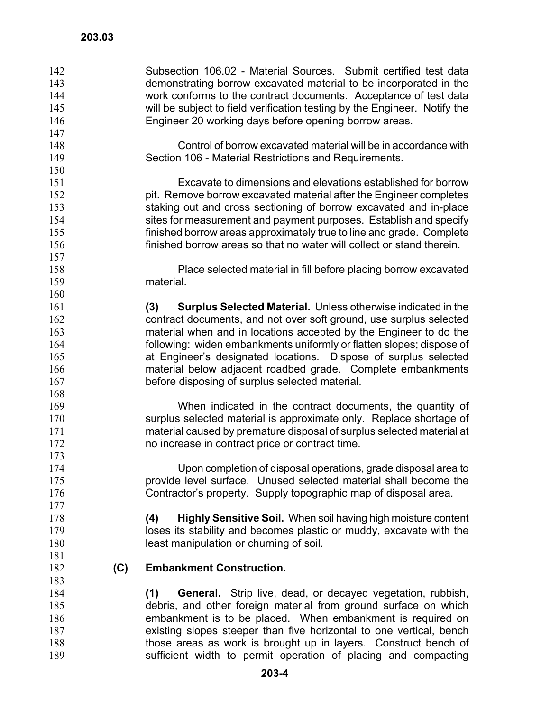Subsection 106.02 - Material Sources. Submit certified test data demonstrating borrow excavated material to be incorporated in the work conforms to the contract documents. Acceptance of test data will be subject to field verification testing by the Engineer. Notify the Engineer 20 working days before opening borrow areas. 142 143 144 145 146 147 148 149 150 151 152 153 154 155 156 157 158 159 160 161 162 163 164 165 166 167 168 169 170 171 172 173 174 175 176 177 178 179 180 181 182 183 184 185 186 187 188 189 Control of borrow excavated material will be in accordance with Section 106 - Material Restrictions and Requirements. Excavate to dimensions and elevations established for borrow pit. Remove borrow excavated material after the Engineer completes staking out and cross sectioning of borrow excavated and in-place sites for measurement and payment purposes. Establish and specify finished borrow areas approximately true to line and grade. Complete finished borrow areas so that no water will collect or stand therein. Place selected material in fill before placing borrow excavated material. **(3) Surplus Selected Material.** Unless otherwise indicated in the contract documents, and not over soft ground, use surplus selected material when and in locations accepted by the Engineer to do the following: widen embankments uniformly or flatten slopes; dispose of at Engineer's designated locations. Dispose of surplus selected material below adjacent roadbed grade. Complete embankments before disposing of surplus selected material. When indicated in the contract documents, the quantity of surplus selected material is approximate only. Replace shortage of material caused by premature disposal of surplus selected material at no increase in contract price or contract time. Upon completion of disposal operations, grade disposal area to provide level surface. Unused selected material shall become the Contractor's property. Supply topographic map of disposal area. **(4) Highly Sensitive Soil.** When soil having high moisture content loses its stability and becomes plastic or muddy, excavate with the least manipulation or churning of soil. **(C) Embankment Construction. (1) General.** Strip live, dead, or decayed vegetation, rubbish, debris, and other foreign material from ground surface on which embankment is to be placed. When embankment is required on existing slopes steeper than five horizontal to one vertical, bench those areas as work is brought up in layers. Construct bench of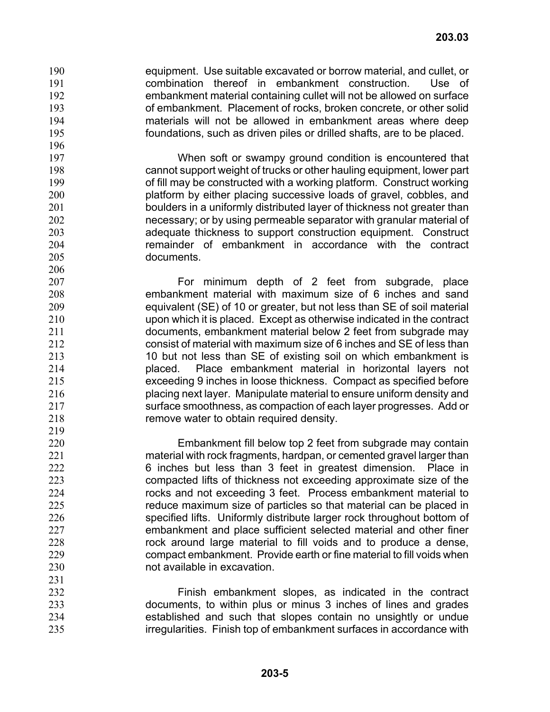equipment. Use suitable excavated or borrow material, and cullet, or combination thereof in embankment construction. Use of embankment material containing cullet will not be allowed on surface of embankment. Placement of rocks, broken concrete, or other solid materials will not be allowed in embankment areas where deep foundations, such as driven piles or drilled shafts, are to be placed. 190 191 192 193 194

When soft or swampy ground condition is encountered that cannot support weight of trucks or other hauling equipment, lower part of fill may be constructed with a working platform. Construct working platform by either placing successive loads of gravel, cobbles, and boulders in a uniformly distributed layer of thickness not greater than necessary; or by using permeable separator with granular material of adequate thickness to support construction equipment. Construct remainder of embankment in accordance with the contract documents.

207 208 209 210 211 212 213 214 215 216 217 218 219 For minimum depth of 2 feet from subgrade, place embankment material with maximum size of 6 inches and sand equivalent (SE) of 10 or greater, but not less than SE of soil material upon which it is placed. Except as otherwise indicated in the contract documents, embankment material below 2 feet from subgrade may consist of material with maximum size of 6 inches and SE of less than 10 but not less than SE of existing soil on which embankment is placed. Place embankment material in horizontal layers not exceeding 9 inches in loose thickness. Compact as specified before placing next layer. Manipulate material to ensure uniform density and surface smoothness, as compaction of each layer progresses. Add or remove water to obtain required density.

Embankment fill below top 2 feet from subgrade may contain material with rock fragments, hardpan, or cemented gravel larger than 6 inches but less than 3 feet in greatest dimension. Place in compacted lifts of thickness not exceeding approximate size of the rocks and not exceeding 3 feet. Process embankment material to reduce maximum size of particles so that material can be placed in specified lifts. Uniformly distribute larger rock throughout bottom of embankment and place sufficient selected material and other finer rock around large material to fill voids and to produce a dense, compact embankment. Provide earth or fine material to fill voids when not available in excavation.

232 233 234 235 Finish embankment slopes, as indicated in the contract documents, to within plus or minus 3 inches of lines and grades established and such that slopes contain no unsightly or undue irregularities. Finish top of embankment surfaces in accordance with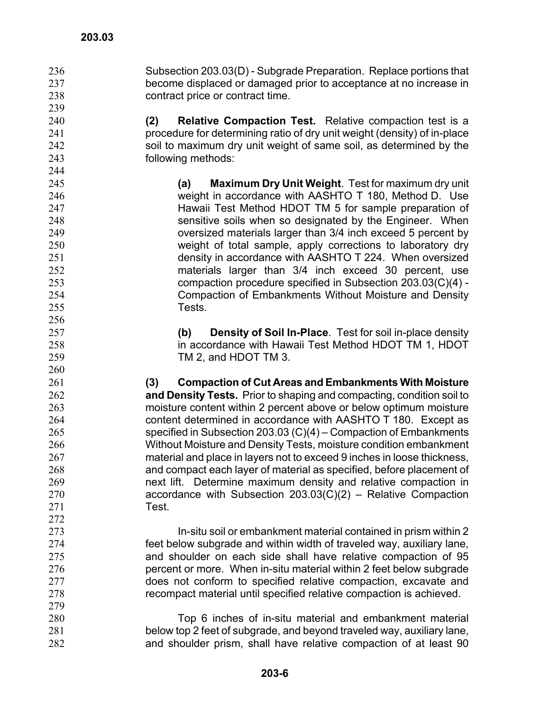Subsection 203.03(D) - Subgrade Preparation. Replace portions that become displaced or damaged prior to acceptance at no increase in contract price or contract time.

**(2) Relative Compaction Test.** Relative compaction test is a procedure for determining ratio of dry unit weight (density) of in-place soil to maximum dry unit weight of same soil, as determined by the following methods:

> **(a) Maximum Dry Unit Weight**. Test for maximum dry unit weight in accordance with AASHTO T 180, Method D. Use Hawaii Test Method HDOT TM 5 for sample preparation of sensitive soils when so designated by the Engineer. When oversized materials larger than 3/4 inch exceed 5 percent by weight of total sample, apply corrections to laboratory dry density in accordance with AASHTO T 224. When oversized materials larger than 3/4 inch exceed 30 percent, use compaction procedure specified in Subsection 203.03(C)(4) - Compaction of Embankments Without Moisture and Density Tests.

> **(b) Density of Soil In-Place**. Test for soil in-place density in accordance with Hawaii Test Method HDOT TM 1, HDOT TM 2, and HDOT TM 3.

**(3) Compaction of Cut Areas and Embankments With Moisture and Density Tests.** Prior to shaping and compacting, condition soil to moisture content within 2 percent above or below optimum moisture content determined in accordance with AASHTO T 180. Except as specified in Subsection 203.03 (C)(4) – Compaction of Embankments Without Moisture and Density Tests, moisture condition embankment material and place in layers not to exceed 9 inches in loose thickness, and compact each layer of material as specified, before placement of next lift. Determine maximum density and relative compaction in accordance with Subsection 203.03(C)(2) – Relative Compaction Test.

In-situ soil or embankment material contained in prism within 2 feet below subgrade and within width of traveled way, auxiliary lane, and shoulder on each side shall have relative compaction of 95 percent or more. When in-situ material within 2 feet below subgrade does not conform to specified relative compaction, excavate and recompact material until specified relative compaction is achieved.

280 281 282 Top 6 inches of in-situ material and embankment material below top 2 feet of subgrade, and beyond traveled way, auxiliary lane, and shoulder prism, shall have relative compaction of at least 90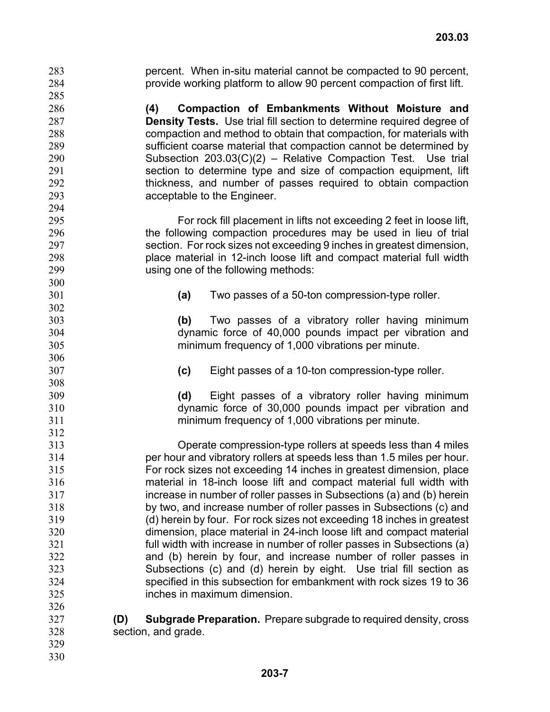percent. When in-situ material cannot be compacted to 90 percent, provide working platform to allow 90 percent compaction of first lift. 283 284 285 286 287 288 289 290 291 292 293 294 295 296 297 298 299 300 301 302 303 304 305 306 307 308 309 310 311 312 313 314 315 316 317 318 319 320 321 322 323 324 325 326 327 328 329 **(4) Compaction of Embankments Without Moisture and Density Tests.** Use trial fill section to determine required degree of compaction and method to obtain that compaction, for materials with sufficient coarse material that compaction cannot be determined by Subsection 203.03(C)(2) – Relative Compaction Test. Use trial section to determine type and size of compaction equipment, lift thickness, and number of passes required to obtain compaction acceptable to the Engineer. For rock fill placement in lifts not exceeding 2 feet in loose lift, the following compaction procedures may be used in lieu of trial section. For rock sizes not exceeding 9 inches in greatest dimension, place material in 12-inch loose lift and compact material full width using one of the following methods: **(a)** Two passes of a 50-ton compression-type roller. **(b)** Two passes of a vibratory roller having minimum dynamic force of 40,000 pounds impact per vibration and minimum frequency of 1,000 vibrations per minute. **(c)** Eight passes of a 10-ton compression-type roller. **(d)** Eight passes of a vibratory roller having minimum dynamic force of 30,000 pounds impact per vibration and minimum frequency of 1,000 vibrations per minute. Operate compression-type rollers at speeds less than 4 miles per hour and vibratory rollers at speeds less than 1.5 miles per hour. For rock sizes not exceeding 14 inches in greatest dimension, place material in 18-inch loose lift and compact material full width with increase in number of roller passes in Subsections (a) and (b) herein by two, and increase number of roller passes in Subsections (c) and (d) herein by four. For rock sizes not exceeding 18 inches in greatest dimension, place material in 24-inch loose lift and compact material full width with increase in number of roller passes in Subsections (a) and (b) herein by four, and increase number of roller passes in Subsections (c) and (d) herein by eight. Use trial fill section as specified in this subsection for embankment with rock sizes 19 to 36 inches in maximum dimension. **(D) Subgrade Preparation.** Prepare subgrade to required density, cross section, and grade.

330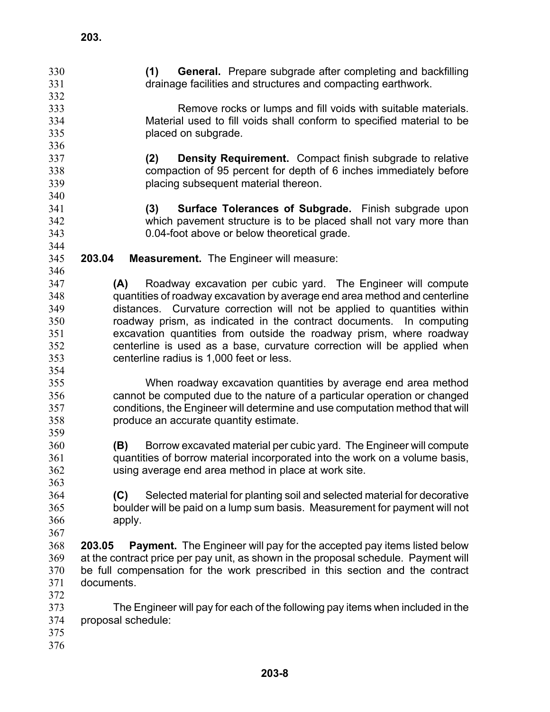| 330 | <b>General.</b> Prepare subgrade after completing and backfilling<br>(1)                |  |  |
|-----|-----------------------------------------------------------------------------------------|--|--|
| 331 | drainage facilities and structures and compacting earthwork.                            |  |  |
| 332 |                                                                                         |  |  |
| 333 | Remove rocks or lumps and fill voids with suitable materials.                           |  |  |
| 334 | Material used to fill voids shall conform to specified material to be                   |  |  |
| 335 | placed on subgrade.                                                                     |  |  |
| 336 |                                                                                         |  |  |
| 337 | <b>Density Requirement.</b> Compact finish subgrade to relative<br>(2)                  |  |  |
| 338 | compaction of 95 percent for depth of 6 inches immediately before                       |  |  |
| 339 | placing subsequent material thereon.                                                    |  |  |
| 340 |                                                                                         |  |  |
| 341 | <b>Surface Tolerances of Subgrade.</b> Finish subgrade upon<br>(3)                      |  |  |
| 342 | which pavement structure is to be placed shall not vary more than                       |  |  |
| 343 | 0.04-foot above or below theoretical grade.                                             |  |  |
| 344 |                                                                                         |  |  |
| 345 | 203.04<br><b>Measurement.</b> The Engineer will measure:                                |  |  |
| 346 |                                                                                         |  |  |
| 347 | Roadway excavation per cubic yard. The Engineer will compute<br>(A)                     |  |  |
| 348 | quantities of roadway excavation by average end area method and centerline              |  |  |
| 349 |                                                                                         |  |  |
|     | distances. Curvature correction will not be applied to quantities within                |  |  |
| 350 | roadway prism, as indicated in the contract documents. In computing                     |  |  |
| 351 | excavation quantities from outside the roadway prism, where roadway                     |  |  |
| 352 | centerline is used as a base, curvature correction will be applied when                 |  |  |
| 353 | centerline radius is 1,000 feet or less.                                                |  |  |
| 354 |                                                                                         |  |  |
| 355 | When roadway excavation quantities by average end area method                           |  |  |
| 356 | cannot be computed due to the nature of a particular operation or changed               |  |  |
| 357 | conditions, the Engineer will determine and use computation method that will            |  |  |
| 358 | produce an accurate quantity estimate.                                                  |  |  |
| 359 |                                                                                         |  |  |
| 360 | Borrow excavated material per cubic yard. The Engineer will compute<br>(B)              |  |  |
| 361 | quantities of borrow material incorporated into the work on a volume basis,             |  |  |
| 362 | using average end area method in place at work site.                                    |  |  |
| 363 |                                                                                         |  |  |
| 364 | Selected material for planting soil and selected material for decorative<br>(C)         |  |  |
| 365 | boulder will be paid on a lump sum basis. Measurement for payment will not              |  |  |
| 366 | apply.                                                                                  |  |  |
| 367 |                                                                                         |  |  |
| 368 | <b>Payment.</b> The Engineer will pay for the accepted pay items listed below<br>203.05 |  |  |
| 369 | at the contract price per pay unit, as shown in the proposal schedule. Payment will     |  |  |
| 370 | be full compensation for the work prescribed in this section and the contract           |  |  |
| 371 | documents.                                                                              |  |  |
| 372 |                                                                                         |  |  |
| 373 | The Engineer will pay for each of the following pay items when included in the          |  |  |
| 374 | proposal schedule:                                                                      |  |  |
| 375 |                                                                                         |  |  |
| 376 |                                                                                         |  |  |
|     |                                                                                         |  |  |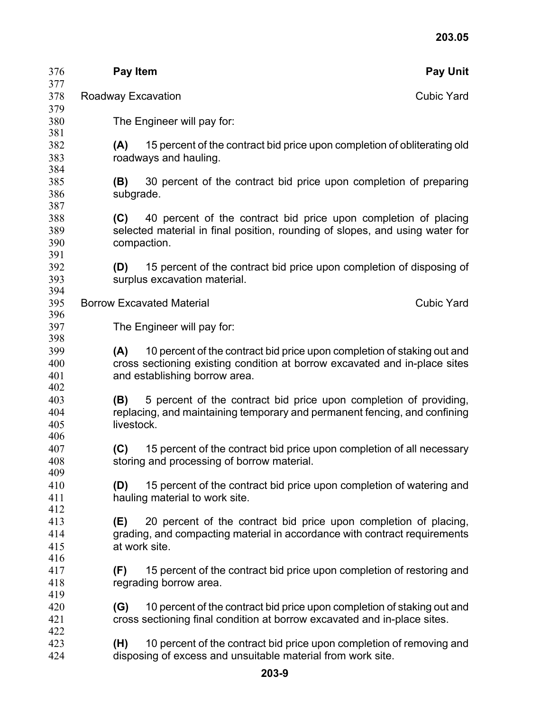| 376        | <b>Pay Item</b>                                |                                                                                                                                                | <b>Pay Unit</b>   |  |  |
|------------|------------------------------------------------|------------------------------------------------------------------------------------------------------------------------------------------------|-------------------|--|--|
| 377<br>378 |                                                |                                                                                                                                                |                   |  |  |
| 379        | <b>Roadway Excavation</b><br><b>Cubic Yard</b> |                                                                                                                                                |                   |  |  |
| 380        |                                                | The Engineer will pay for:                                                                                                                     |                   |  |  |
| 381        |                                                |                                                                                                                                                |                   |  |  |
| 382        | (A)                                            | 15 percent of the contract bid price upon completion of obliterating old                                                                       |                   |  |  |
| 383        |                                                | roadways and hauling.                                                                                                                          |                   |  |  |
| 384        |                                                |                                                                                                                                                |                   |  |  |
| 385        | (B)                                            | 30 percent of the contract bid price upon completion of preparing                                                                              |                   |  |  |
| 386<br>387 |                                                | subgrade.                                                                                                                                      |                   |  |  |
| 388        | (C)                                            | 40 percent of the contract bid price upon completion of placing                                                                                |                   |  |  |
| 389        |                                                | selected material in final position, rounding of slopes, and using water for                                                                   |                   |  |  |
| 390        |                                                | compaction.                                                                                                                                    |                   |  |  |
| 391        |                                                |                                                                                                                                                |                   |  |  |
| 392        | (D)                                            | 15 percent of the contract bid price upon completion of disposing of                                                                           |                   |  |  |
| 393        |                                                | surplus excavation material.                                                                                                                   |                   |  |  |
| 394        |                                                |                                                                                                                                                | <b>Cubic Yard</b> |  |  |
| 395<br>396 |                                                | <b>Borrow Excavated Material</b>                                                                                                               |                   |  |  |
| 397        |                                                | The Engineer will pay for:                                                                                                                     |                   |  |  |
| 398        |                                                |                                                                                                                                                |                   |  |  |
| 399        | (A)                                            | 10 percent of the contract bid price upon completion of staking out and                                                                        |                   |  |  |
| 400        |                                                | cross sectioning existing condition at borrow excavated and in-place sites                                                                     |                   |  |  |
| 401        |                                                | and establishing borrow area.                                                                                                                  |                   |  |  |
| 402        |                                                |                                                                                                                                                |                   |  |  |
| 403<br>404 | (B)                                            | 5 percent of the contract bid price upon completion of providing,<br>replacing, and maintaining temporary and permanent fencing, and confining |                   |  |  |
| 405        | livestock.                                     |                                                                                                                                                |                   |  |  |
| 406        |                                                |                                                                                                                                                |                   |  |  |
| 407        | (C)                                            | 15 percent of the contract bid price upon completion of all necessary                                                                          |                   |  |  |
| 408        |                                                | storing and processing of borrow material.                                                                                                     |                   |  |  |
| 409        |                                                |                                                                                                                                                |                   |  |  |
| 410        | (D)                                            | 15 percent of the contract bid price upon completion of watering and                                                                           |                   |  |  |
| 411<br>412 |                                                | hauling material to work site.                                                                                                                 |                   |  |  |
| 413        | (E)                                            | 20 percent of the contract bid price upon completion of placing,                                                                               |                   |  |  |
| 414        |                                                | grading, and compacting material in accordance with contract requirements                                                                      |                   |  |  |
| 415        |                                                | at work site.                                                                                                                                  |                   |  |  |
| 416        |                                                |                                                                                                                                                |                   |  |  |
| 417        | (F)                                            | 15 percent of the contract bid price upon completion of restoring and                                                                          |                   |  |  |
| 418        |                                                | regrading borrow area.                                                                                                                         |                   |  |  |
| 419        |                                                |                                                                                                                                                |                   |  |  |
| 420        | (G)                                            | 10 percent of the contract bid price upon completion of staking out and                                                                        |                   |  |  |
| 421<br>422 |                                                | cross sectioning final condition at borrow excavated and in-place sites.                                                                       |                   |  |  |
| 423        | (H)                                            | 10 percent of the contract bid price upon completion of removing and                                                                           |                   |  |  |
| 424        |                                                | disposing of excess and unsuitable material from work site.                                                                                    |                   |  |  |